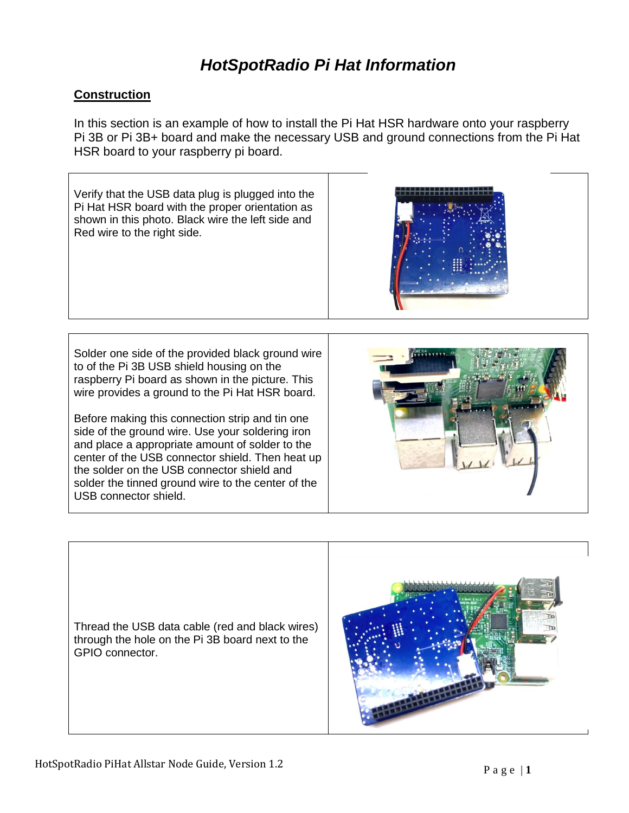### **Construction**

In this section is an example of how to install the Pi Hat HSR hardware onto your raspberry Pi 3B or Pi 3B+ board and make the necessary USB and ground connections from the Pi Hat HSR board to your raspberry pi board.



Thread the USB data cable (red and black wires) through the hole on the Pi 3B board next to the GPIO connector.

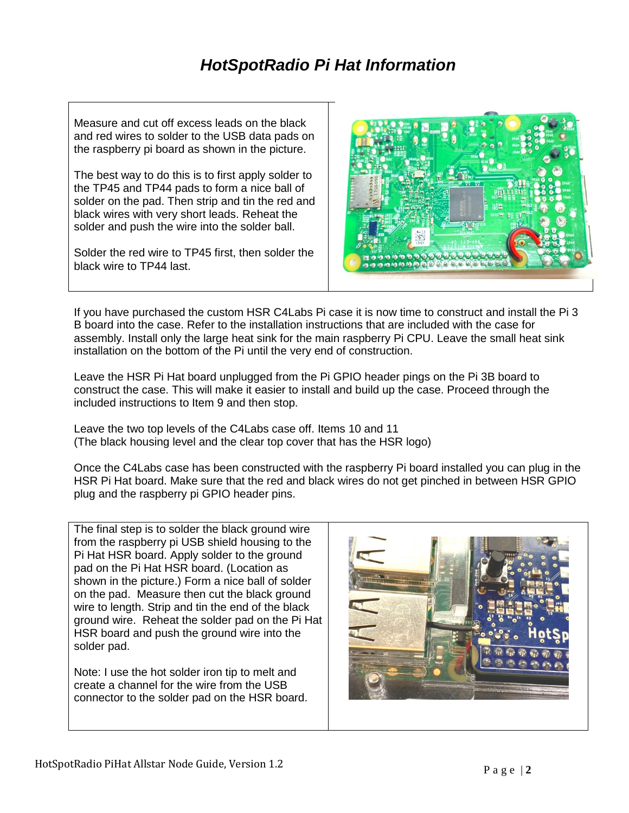Measure and cut off excess leads on the black and red wires to solder to the USB data pads on the raspberry pi board as shown in the picture.

The best way to do this is to first apply solder to the TP45 and TP44 pads to form a nice ball of solder on the pad. Then strip and tin the red and black wires with very short leads. Reheat the solder and push the wire into the solder ball.

Solder the red wire to TP45 first, then solder the black wire to TP44 last.



If you have purchased the custom HSR C4Labs Pi case it is now time to construct and install the Pi 3 B board into the case. Refer to the installation instructions that are included with the case for assembly. Install only the large heat sink for the main raspberry Pi CPU. Leave the small heat sink installation on the bottom of the Pi until the very end of construction.

Leave the HSR Pi Hat board unplugged from the Pi GPIO header pings on the Pi 3B board to construct the case. This will make it easier to install and build up the case. Proceed through the included instructions to Item 9 and then stop.

Leave the two top levels of the C4Labs case off. Items 10 and 11 (The black housing level and the clear top cover that has the HSR logo)

Once the C4Labs case has been constructed with the raspberry Pi board installed you can plug in the HSR Pi Hat board. Make sure that the red and black wires do not get pinched in between HSR GPIO plug and the raspberry pi GPIO header pins.

The final step is to solder the black ground wire from the raspberry pi USB shield housing to the Pi Hat HSR board. Apply solder to the ground pad on the Pi Hat HSR board. (Location as shown in the picture.) Form a nice ball of solder on the pad. Measure then cut the black ground wire to length. Strip and tin the end of the black ground wire. Reheat the solder pad on the Pi Hat HSR board and push the ground wire into the solder pad.

Note: I use the hot solder iron tip to melt and create a channel for the wire from the USB connector to the solder pad on the HSR board.

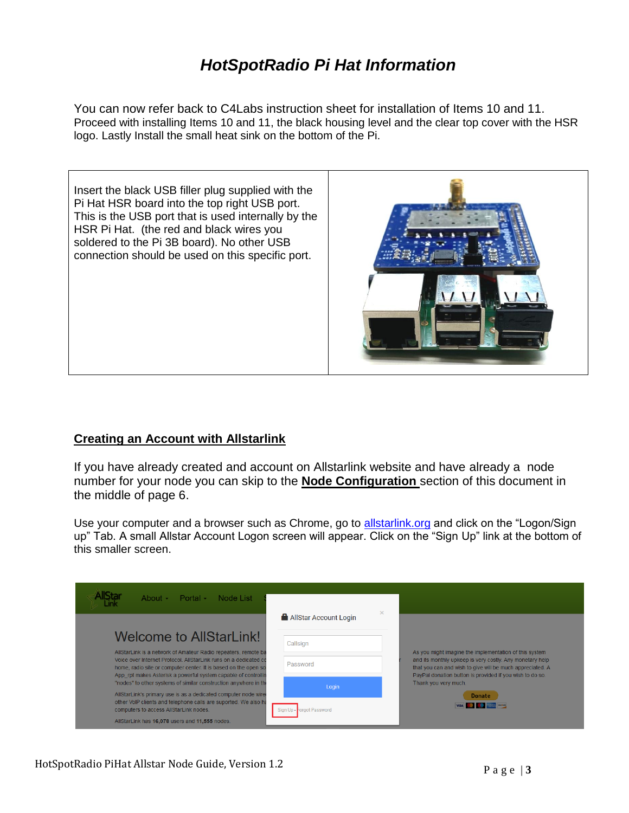You can now refer back to C4Labs instruction sheet for installation of Items 10 and 11. Proceed with installing Items 10 and 11, the black housing level and the clear top cover with the HSR logo. Lastly Install the small heat sink on the bottom of the Pi.

Insert the black USB filler plug supplied with the Pi Hat HSR board into the top right USB port. This is the USB port that is used internally by the HSR Pi Hat. (the red and black wires you soldered to the Pi 3B board). No other USB connection should be used on this specific port.



### **Creating an Account with Allstarlink**

If you have already created and account on Allstarlink website and have already a node number for your node you can skip to the **Node Configuration** section of this document in the middle of page 6.

Use your computer and a browser such as Chrome, go to [allstarlink.org](file:///C:/Users/Marshall/Desktop/HotSpotRadio/allstarlink.org) and click on the "Logon/Sign up" Tab. A small Allstar Account Logon screen will appear. Click on the "Sign Up" link at the bottom of this smaller screen.

| About $\sim$<br>Portal $\sim$<br>Node List                                                                                                                                                            | $\times$                  |                                                                                                                                                                                                           |
|-------------------------------------------------------------------------------------------------------------------------------------------------------------------------------------------------------|---------------------------|-----------------------------------------------------------------------------------------------------------------------------------------------------------------------------------------------------------|
|                                                                                                                                                                                                       | AllStar Account Login     |                                                                                                                                                                                                           |
| Welcome to AllStarLink!<br>AllStarLink is a network of Amateur Radio repeaters, remote ba                                                                                                             | Callsign                  | As you might imagine the implementation of this system                                                                                                                                                    |
| Voice over Internet Protocol, AllStarLink runs on a dedicated co<br>home, radio site or computer center. It is based on the open so                                                                   | Password                  | and its monthly upkeep is very costly. Any monetary help<br>that you can and wish to give will be much appreciated. A<br>PayPal donation button is provided if you wish to do so.<br>Thank you very much. |
| App rpt makes Asterisk a powerful system capable of controlling<br>"nodes" to other systems of similar construction anywhere in the<br>AllStarLink's primary use is as a dedicated computer node wire | Login                     |                                                                                                                                                                                                           |
| other VoIP clients and telephone calls are suported. We also ha<br>computers to access AllStarLink nodes.                                                                                             | Sign Up - Forgot Password | <b>Donate</b><br><b>STATISTICS</b> DECEMBER                                                                                                                                                               |
| AllStarLink has 16,078 users and 11,555 nodes.                                                                                                                                                        |                           |                                                                                                                                                                                                           |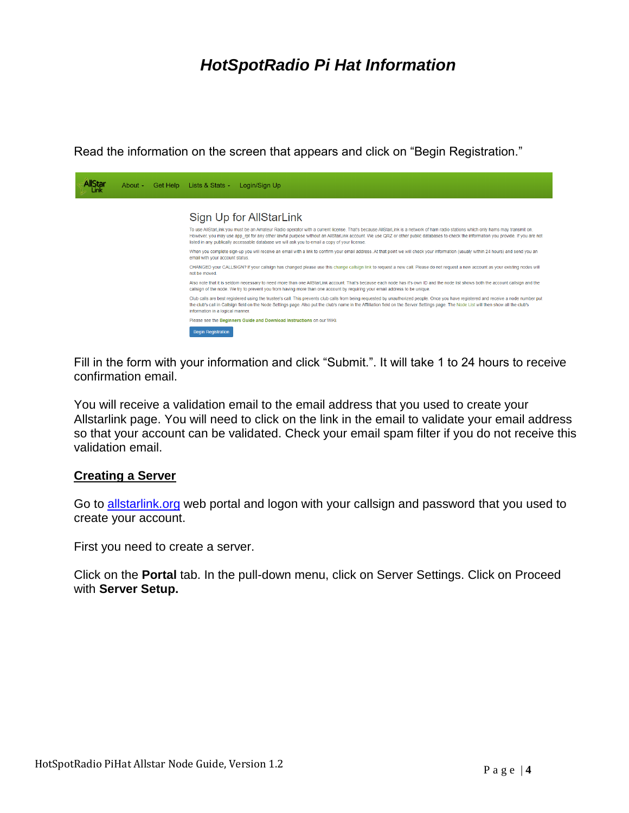Read the information on the screen that appears and click on "Begin Registration."



Fill in the form with your information and click "Submit.". It will take 1 to 24 hours to receive confirmation email.

You will receive a validation email to the email address that you used to create your Allstarlink page. You will need to click on the link in the email to validate your email address so that your account can be validated. Check your email spam filter if you do not receive this validation email.

#### **Creating a Server**

Go to [allstarlink.org](file:///C:/Users/Marshall/Desktop/HotSpotRadio/allstarlink.org) web portal and logon with your callsign and password that you used to create your account.

First you need to create a server.

Click on the **Portal** tab. In the pull-down menu, click on Server Settings. Click on Proceed with **Server Setup.**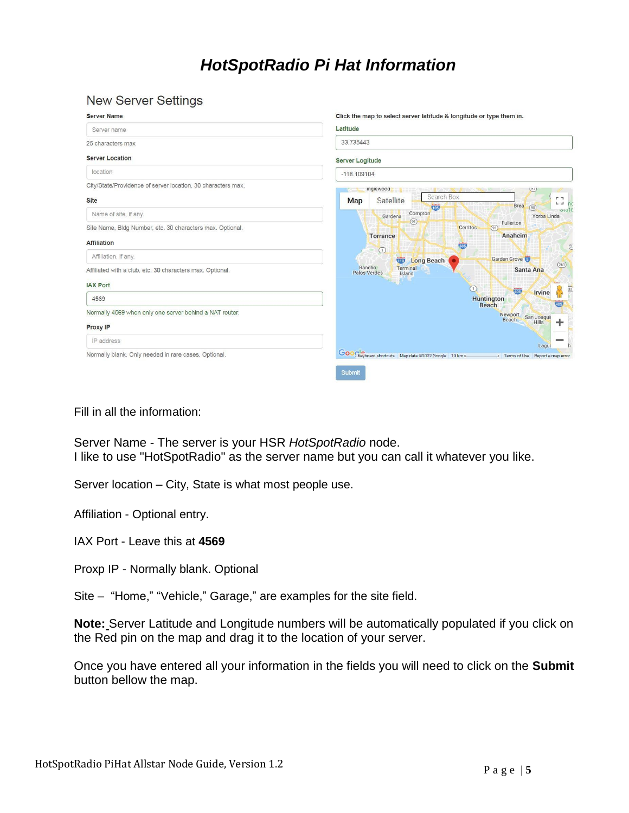#### **New Server Settings**

| <b>Server Name</b>                                                              | Click the map to select server latitude & longitude or type them in.                         |  |
|---------------------------------------------------------------------------------|----------------------------------------------------------------------------------------------|--|
| Server name                                                                     | Latitude                                                                                     |  |
| 25 characters max                                                               | 33.735443                                                                                    |  |
| <b>Server Location</b>                                                          | <b>Server Logitude</b>                                                                       |  |
| location                                                                        | $-118.109104$                                                                                |  |
| City/State/Providence of server location. 30 characters max.<br><b>Site</b>     | ingiewood<br>(51)<br>Search Box<br>F 7<br><b>Satellite</b><br>Map<br>$L = mc$<br>Brea        |  |
| Name of site, if any.                                                           | (90)<br>105<br>$\frac{1}{2}$<br>Compton<br>Yorba Linda<br>Gardena                            |  |
| Site Name, Bldg Number, etc. 30 characters max. Optional.<br><b>Affiliation</b> | (91)<br>Fullerton<br>Cerritos<br>(91)<br>Anaheim<br><b>Torrance</b>                          |  |
| Affiliation, if any.                                                            | 605<br>$\overline{2}$<br>(1)<br>Garden Grove<br><b>Long Beach</b><br>$\overline{\mathbf{w}}$ |  |
| Affiliated with a club, etc. 30 characters max. Optional.                       | (261)<br>Rancho<br>Terminal<br>Santa Ana<br>Palos Verdes<br>Island                           |  |
| <b>IAX Port</b>                                                                 | $\bigcap$<br>33<br>405                                                                       |  |
| 4569                                                                            | Irvine<br><b>Huntington</b><br>405<br><b>Beach</b>                                           |  |
| Normally 4569 when only one server behind a NAT router.                         | Newport San Joaqui                                                                           |  |
| Proxy IP                                                                        | Beach<br><b>Hills</b><br>÷                                                                   |  |
| IP address                                                                      | Lagur                                                                                        |  |
| Normally blank. Only needed in rare cases. Optional.                            | Google 10 km<br>Terms of Use Report a map error<br>$\mathbf{r}$                              |  |
|                                                                                 | Submit                                                                                       |  |

Fill in all the information:

Server Name - The server is your HSR *HotSpotRadio* node. I like to use "HotSpotRadio" as the server name but you can call it whatever you like.

Server location – City, State is what most people use.

Affiliation - Optional entry.

IAX Port - Leave this at **4569**

Proxp IP - Normally blank. Optional

Site – "Home," "Vehicle," Garage," are examples for the site field.

**Note:** Server Latitude and Longitude numbers will be automatically populated if you click on the Red pin on the map and drag it to the location of your server.

Once you have entered all your information in the fields you will need to click on the **Submit** button bellow the map.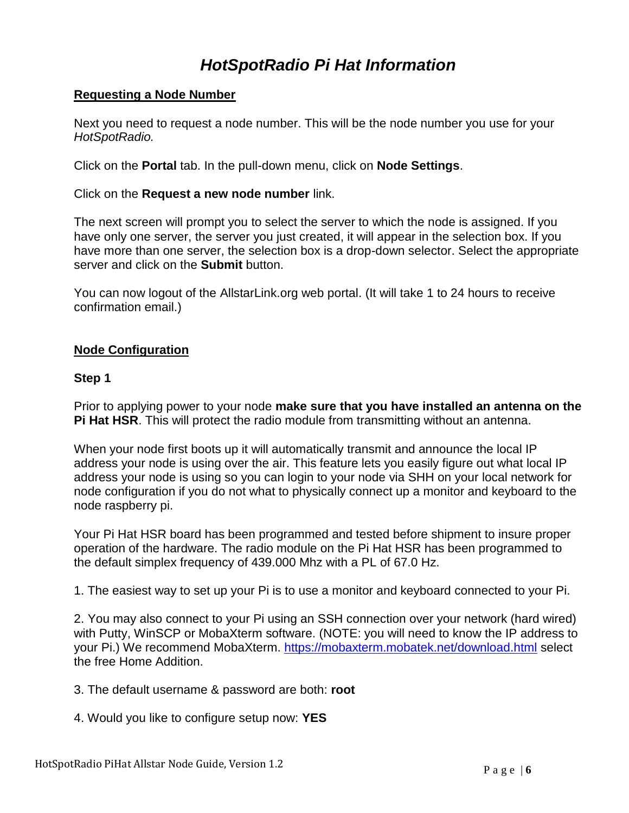### **Requesting a Node Number**

Next you need to request a node number. This will be the node number you use for your *HotSpotRadio.*

Click on the **Portal** tab. In the pull-down menu, click on **Node Settings**.

Click on the **Request a new node number** link.

The next screen will prompt you to select the server to which the node is assigned. If you have only one server, the server you just created, it will appear in the selection box. If you have more than one server, the selection box is a drop-down selector. Select the appropriate server and click on the **Submit** button.

You can now logout of the AllstarLink.org web portal. (It will take 1 to 24 hours to receive confirmation email.)

#### **Node Configuration**

#### **Step 1**

Prior to applying power to your node **make sure that you have installed an antenna on the Pi Hat HSR**. This will protect the radio module from transmitting without an antenna.

When your node first boots up it will automatically transmit and announce the local IP address your node is using over the air. This feature lets you easily figure out what local IP address your node is using so you can login to your node via SHH on your local network for node configuration if you do not what to physically connect up a monitor and keyboard to the node raspberry pi.

Your Pi Hat HSR board has been programmed and tested before shipment to insure proper operation of the hardware. The radio module on the Pi Hat HSR has been programmed to the default simplex frequency of 439.000 Mhz with a PL of 67.0 Hz.

1. The easiest way to set up your Pi is to use a monitor and keyboard connected to your Pi.

2. You may also connect to your Pi using an SSH connection over your network (hard wired) with Putty, WinSCP or MobaXterm software. (NOTE: you will need to know the IP address to your Pi.) We recommend MobaXterm.<https://mobaxterm.mobatek.net/download.html> select the free Home Addition.

3. The default username & password are both: **root**

4. Would you like to configure setup now: **YES**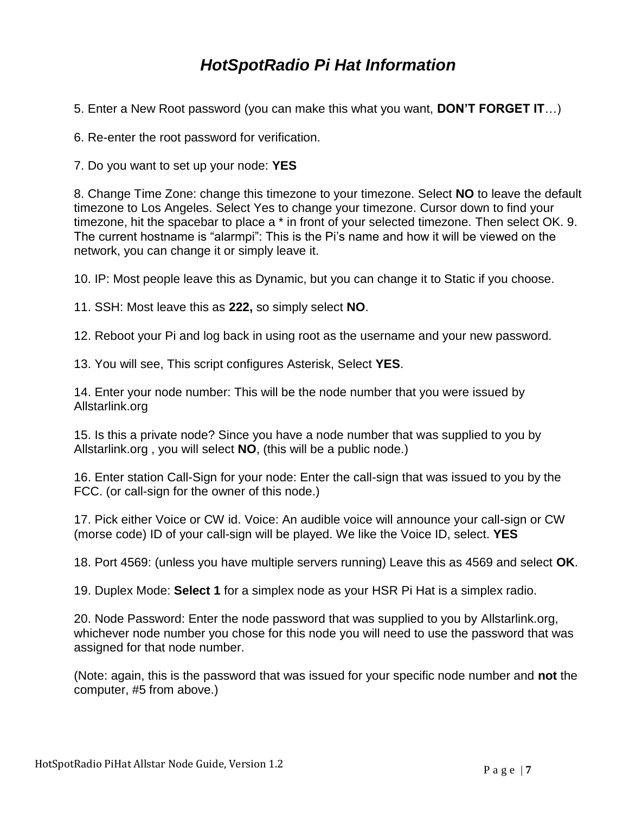- 5. Enter a New Root password (you can make this what you want, **DON'T FORGET IT**…)
- 6. Re-enter the root password for verification.
- 7. Do you want to set up your node: **YES**

8. Change Time Zone: change this timezone to your timezone. Select **NO** to leave the default timezone to Los Angeles. Select Yes to change your timezone. Cursor down to find your timezone, hit the spacebar to place a \* in front of your selected timezone. Then select OK. 9. The current hostname is "alarmpi": This is the Pi's name and how it will be viewed on the network, you can change it or simply leave it.

10. IP: Most people leave this as Dynamic, but you can change it to Static if you choose.

11. SSH: Most leave this as **222,** so simply select **NO**.

12. Reboot your Pi and log back in using root as the username and your new password.

13. You will see, This script configures Asterisk, Select **YES**.

14. Enter your node number: This will be the node number that you were issued by Allstarlink.org

15. Is this a private node? Since you have a node number that was supplied to you by Allstarlink.org , you will select **NO**, (this will be a public node.)

16. Enter station Call-Sign for your node: Enter the call-sign that was issued to you by the FCC. (or call-sign for the owner of this node.)

17. Pick either Voice or CW id. Voice: An audible voice will announce your call-sign or CW (morse code) ID of your call-sign will be played. We like the Voice ID, select. **YES**

18. Port 4569: (unless you have multiple servers running) Leave this as 4569 and select **OK**.

19. Duplex Mode: **Select 1** for a simplex node as your HSR Pi Hat is a simplex radio.

20. Node Password: Enter the node password that was supplied to you by Allstarlink.org, whichever node number you chose for this node you will need to use the password that was assigned for that node number.

(Note: again, this is the password that was issued for your specific node number and **not** the computer, #5 from above.)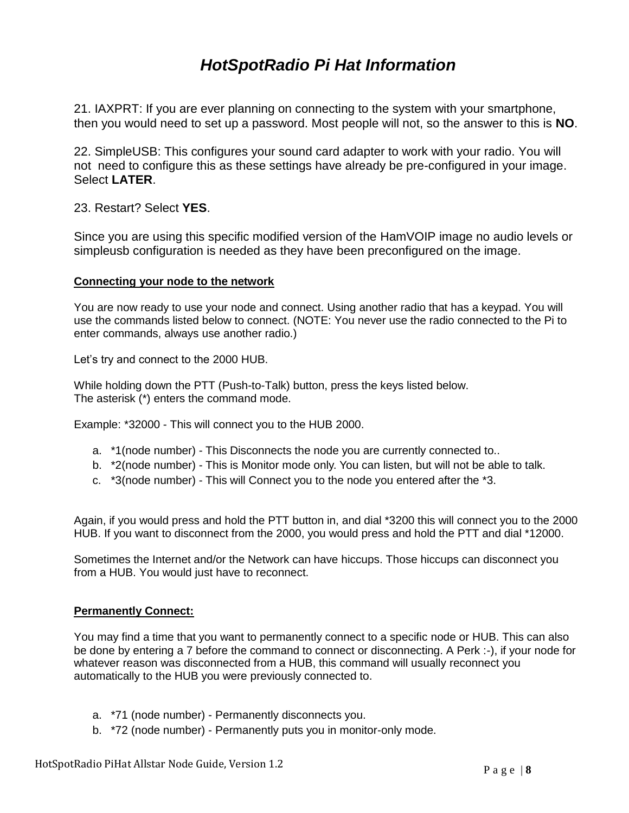21. IAXPRT: If you are ever planning on connecting to the system with your smartphone, then you would need to set up a password. Most people will not, so the answer to this is **NO**.

22. SimpleUSB: This configures your sound card adapter to work with your radio. You will not need to configure this as these settings have already be pre-configured in your image. Select **LATER**.

23. Restart? Select **YES**.

Since you are using this specific modified version of the HamVOIP image no audio levels or simpleusb configuration is needed as they have been preconfigured on the image.

#### **Connecting your node to the network**

You are now ready to use your node and connect. Using another radio that has a keypad. You will use the commands listed below to connect. (NOTE: You never use the radio connected to the Pi to enter commands, always use another radio.)

Let's try and connect to the 2000 HUB.

While holding down the PTT (Push-to-Talk) button, press the keys listed below. The asterisk (\*) enters the command mode.

Example: \*32000 - This will connect you to the HUB 2000.

- a. \*1(node number) This Disconnects the node you are currently connected to..
- b. \*2(node number) This is Monitor mode only. You can listen, but will not be able to talk.
- c. \*3(node number) This will Connect you to the node you entered after the \*3.

Again, if you would press and hold the PTT button in, and dial \*3200 this will connect you to the 2000 HUB. If you want to disconnect from the 2000, you would press and hold the PTT and dial \*12000.

Sometimes the Internet and/or the Network can have hiccups. Those hiccups can disconnect you from a HUB. You would just have to reconnect.

#### **Permanently Connect:**

You may find a time that you want to permanently connect to a specific node or HUB. This can also be done by entering a 7 before the command to connect or disconnecting. A Perk :-), if your node for whatever reason was disconnected from a HUB, this command will usually reconnect you automatically to the HUB you were previously connected to.

- a. \*71 (node number) Permanently disconnects you.
- b. \*72 (node number) Permanently puts you in monitor-only mode.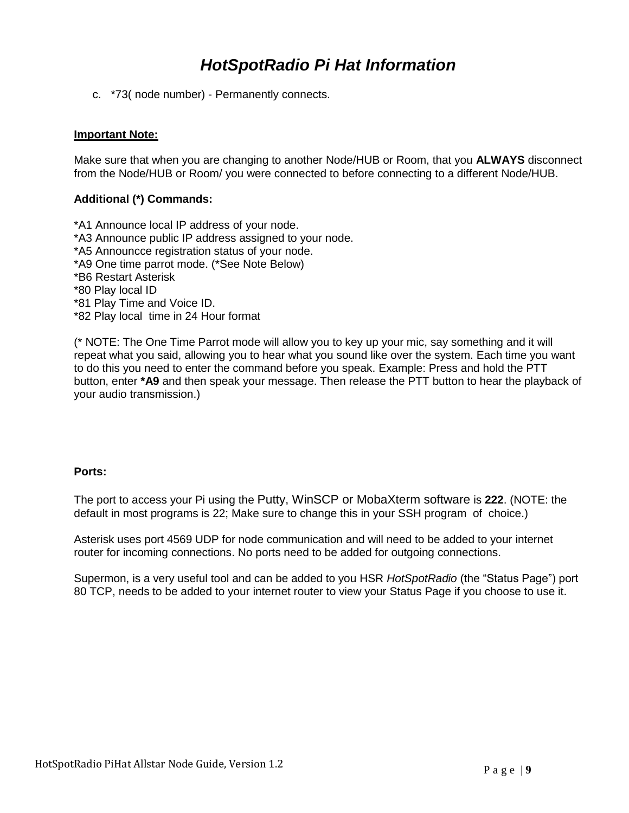c. \*73( node number) - Permanently connects.

#### **Important Note:**

Make sure that when you are changing to another Node/HUB or Room, that you **ALWAYS** disconnect from the Node/HUB or Room/ you were connected to before connecting to a different Node/HUB.

#### **Additional (\*) Commands:**

- \*A1 Announce local IP address of your node.
- \*A3 Announce public IP address assigned to your node.
- \*A5 Announcce registration status of your node.
- \*A9 One time parrot mode. (\*See Note Below)
- \*B6 Restart Asterisk
- \*80 Play local ID
- \*81 Play Time and Voice ID.
- \*82 Play local time in 24 Hour format

(\* NOTE: The One Time Parrot mode will allow you to key up your mic, say something and it will repeat what you said, allowing you to hear what you sound like over the system. Each time you want to do this you need to enter the command before you speak. Example: Press and hold the PTT button, enter **\*A9** and then speak your message. Then release the PTT button to hear the playback of your audio transmission.)

#### **Ports:**

The port to access your Pi using the Putty, WinSCP or MobaXterm software is **222**. (NOTE: the default in most programs is 22; Make sure to change this in your SSH program of choice.)

Asterisk uses port 4569 UDP for node communication and will need to be added to your internet router for incoming connections. No ports need to be added for outgoing connections.

Supermon, is a very useful tool and can be added to you HSR *HotSpotRadio* (the "Status Page") port 80 TCP, needs to be added to your internet router to view your Status Page if you choose to use it.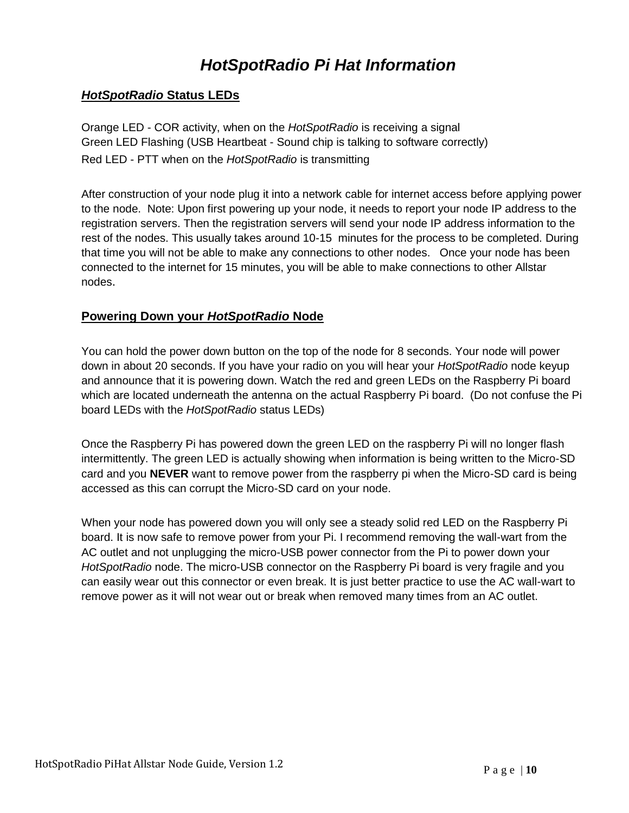### *HotSpotRadio* **Status LEDs**

Orange LED - COR activity, when on the *HotSpotRadio* is receiving a signal Green LED Flashing (USB Heartbeat - Sound chip is talking to software correctly) Red LED - PTT when on the *HotSpotRadio* is transmitting

After construction of your node plug it into a network cable for internet access before applying power to the node. Note: Upon first powering up your node, it needs to report your node IP address to the registration servers. Then the registration servers will send your node IP address information to the rest of the nodes. This usually takes around 10-15 minutes for the process to be completed. During that time you will not be able to make any connections to other nodes. Once your node has been connected to the internet for 15 minutes, you will be able to make connections to other Allstar nodes.

### **Powering Down your** *HotSpotRadio* **Node**

You can hold the power down button on the top of the node for 8 seconds. Your node will power down in about 20 seconds. If you have your radio on you will hear your *HotSpotRadio* node keyup and announce that it is powering down. Watch the red and green LEDs on the Raspberry Pi board which are located underneath the antenna on the actual Raspberry Pi board. (Do not confuse the Pi board LEDs with the *HotSpotRadio* status LEDs)

Once the Raspberry Pi has powered down the green LED on the raspberry Pi will no longer flash intermittently. The green LED is actually showing when information is being written to the Micro-SD card and you **NEVER** want to remove power from the raspberry pi when the Micro-SD card is being accessed as this can corrupt the Micro-SD card on your node.

When your node has powered down you will only see a steady solid red LED on the Raspberry Pi board. It is now safe to remove power from your Pi. I recommend removing the wall-wart from the AC outlet and not unplugging the micro-USB power connector from the Pi to power down your *HotSpotRadio* node. The micro-USB connector on the Raspberry Pi board is very fragile and you can easily wear out this connector or even break. It is just better practice to use the AC wall-wart to remove power as it will not wear out or break when removed many times from an AC outlet.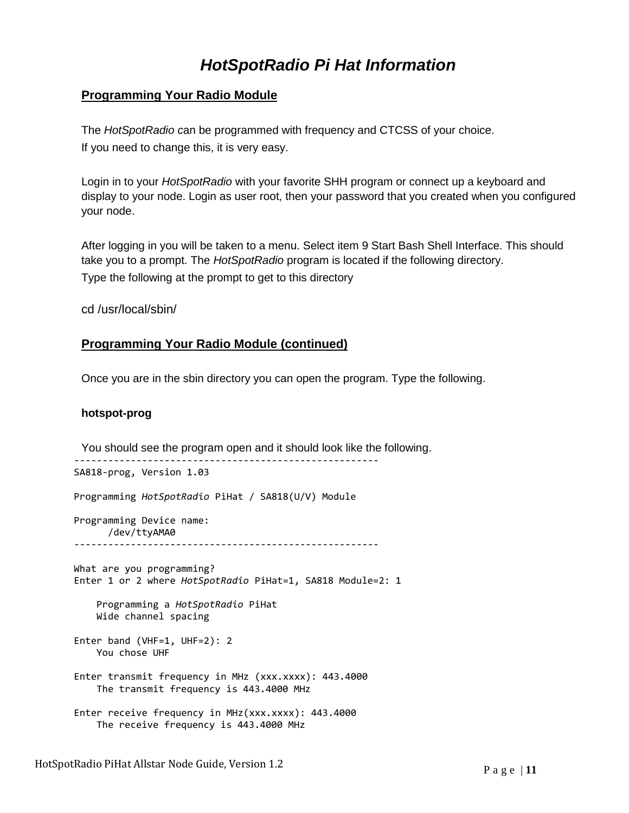### **Programming Your Radio Module**

The *HotSpotRadio c*an be programmed with frequency and CTCSS of your choice. If you need to change this, it is very easy.

Login in to your *HotSpotRadio* with your favorite SHH program or connect up a keyboard and display to your node. Login as user root, then your password that you created when you configured your node.

After logging in you will be taken to a menu. Select item 9 Start Bash Shell Interface. This should take you to a prompt. The *HotSpotRadio* program is located if the following directory. Type the following at the prompt to get to this directory

cd /usr/local/sbin/

#### **Programming Your Radio Module (continued)**

Once you are in the sbin directory you can open the program. Type the following.

#### **hotspot-prog**

You should see the program open and it should look like the following. ------------------------------------------------------ SA818-prog, Version 1.03 Programming *HotSpotRadio* PiHat / SA818(U/V) Module Programming Device name: /dev/ttyAMA0 ------------------------------------------------------ What are you programming? Enter 1 or 2 where *HotSpotRadio* PiHat=1, SA818 Module=2: 1 Programming a *HotSpotRadio* PiHat Wide channel spacing Enter band (VHF=1, UHF=2): 2 You chose UHF Enter transmit frequency in MHz (xxx.xxxx): 443.4000 The transmit frequency is 443.4000 MHz Enter receive frequency in MHz(xxx.xxxx): 443.4000 The receive frequency is 443.4000 MHz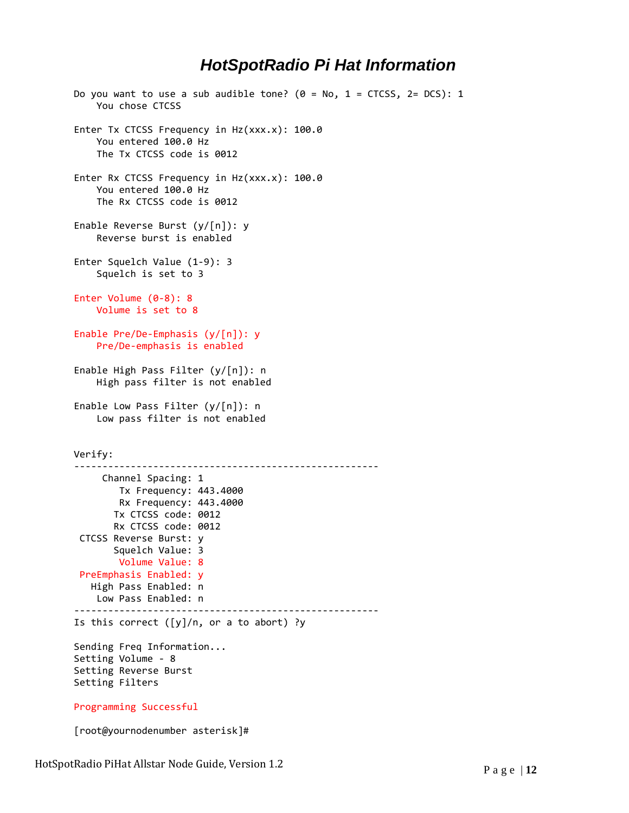```
Do you want to use a sub audible tone? (0 = No, 1 = CTCSS, 2 = DCS): 1
     You chose CTCSS
Enter Tx CTCSS Frequency in Hz(xxx.x): 100.0
     You entered 100.0 Hz
     The Tx CTCSS code is 0012
Enter Rx CTCSS Frequency in Hz(xxx.x): 100.0
     You entered 100.0 Hz
     The Rx CTCSS code is 0012
Enable Reverse Burst (y/[n]): y
     Reverse burst is enabled
Enter Squelch Value (1-9): 3
     Squelch is set to 3
Enter Volume (0-8): 8
     Volume is set to 8
Enable Pre/De-Emphasis (y/[n]): y
     Pre/De-emphasis is enabled
Enable High Pass Filter (y/[n]): n
     High pass filter is not enabled
Enable Low Pass Filter (y/[n]): n
     Low pass filter is not enabled
Verify:
------------------------------------------------------
     Channel Spacing: 1
        Tx Frequency: 443.4000
         Rx Frequency: 443.4000
        Tx CTCSS code: 0012
        Rx CTCSS code: 0012
CTCSS Reverse Burst: y
        Squelch Value: 3
        Volume Value: 8
PreEmphasis Enabled: y
   High Pass Enabled: n
    Low Pass Enabled: n
------------------------------------------------------
Is this correct ([y]/n, or a to abort) ?y
Sending Freq Information...
Setting Volume - 8
Setting Reverse Burst
Setting Filters
Programming Successful
```
[root@yournodenumber asterisk]#